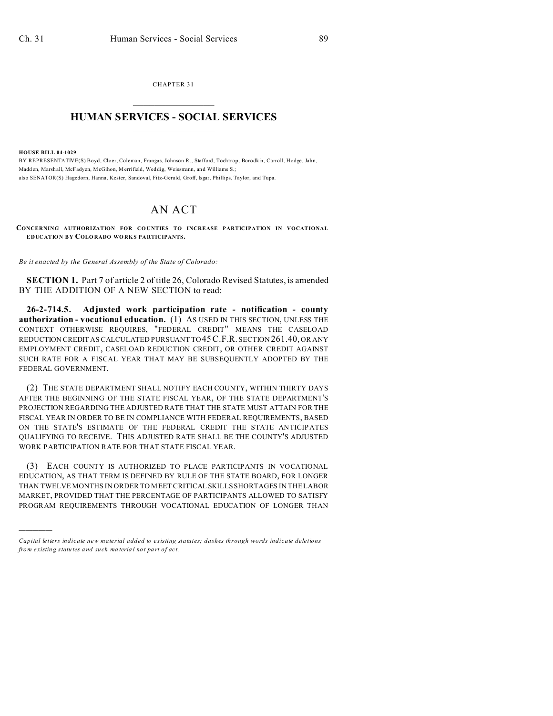CHAPTER 31  $\overline{\phantom{a}}$  , where  $\overline{\phantom{a}}$ 

## **HUMAN SERVICES - SOCIAL SERVICES**  $\frac{1}{2}$  ,  $\frac{1}{2}$  ,  $\frac{1}{2}$  ,  $\frac{1}{2}$  ,  $\frac{1}{2}$  ,  $\frac{1}{2}$

**HOUSE BILL 04-1029**

)))))

BY REPRESENTATIVE(S) Boyd, Cloer, Coleman, Frangas, Johnson R., Stafford, Tochtrop, Borodkin, Carroll, Hodge, Jahn, Madd en, Marshall, McFadyen, McGihon, Merrifield, Wed dig, Weissmann, an d Williams S.; also SENATOR(S) Hagedorn, Hanna, Kester, Sandoval, Fitz-Gerald, Groff, Isgar, Phillips, Taylor, and Tupa.

## AN ACT

CONCERNING AUTHORIZATION FOR COUNTIES TO INCREASE PARTICIPATION IN VOCATIONAL **EDUCATION BY COLO RADO WO RK S PA RTICIPANTS.**

*Be it enacted by the General Assembly of the State of Colorado:*

**SECTION 1.** Part 7 of article 2 of title 26, Colorado Revised Statutes, is amended BY THE ADDITION OF A NEW SECTION to read:

**26-2-714.5. Adjusted work participation rate - notification - county authorization - vocational education.** (1) AS USED IN THIS SECTION, UNLESS THE CONTEXT OTHERWISE REQUIRES, "FEDERAL CREDIT" MEANS THE CASELOAD REDUCTION CREDIT AS CALCULATED PURSUANT TO 45C.F.R. SECTION 261.40, OR ANY EMPLOYMENT CREDIT, CASELOAD REDUCTION CREDIT, OR OTHER CREDIT AGAINST SUCH RATE FOR A FISCAL YEAR THAT MAY BE SUBSEQUENTLY ADOPTED BY THE FEDERAL GOVERNMENT.

(2) THE STATE DEPARTMENT SHALL NOTIFY EACH COUNTY, WITHIN THIRTY DAYS AFTER THE BEGINNING OF THE STATE FISCAL YEAR, OF THE STATE DEPARTMENT'S PROJECTION REGARDING THE ADJUSTED RATE THAT THE STATE MUST ATTAIN FOR THE FISCAL YEAR IN ORDER TO BE IN COMPLIANCE WITH FEDERAL REQUIREMENTS, BASED ON THE STATE'S ESTIMATE OF THE FEDERAL CREDIT THE STATE ANTICIPATES QUALIFYING TO RECEIVE. THIS ADJUSTED RATE SHALL BE THE COUNTY'S ADJUSTED WORK PARTICIPATION RATE FOR THAT STATE FISCAL YEAR.

(3) EACH COUNTY IS AUTHORIZED TO PLACE PARTICIPANTS IN VOCATIONAL EDUCATION, AS THAT TERM IS DEFINED BY RULE OF THE STATE BOARD, FOR LONGER THAN TWELVE MONTHS IN ORDER TO MEET CRITICAL SKILLS SHORTAGES IN THE LABOR MARKET, PROVIDED THAT THE PERCENTAGE OF PARTICIPANTS ALLOWED TO SATISFY PROGRAM REQUIREMENTS THROUGH VOCATIONAL EDUCATION OF LONGER THAN

*Capital letters indicate new material added to existing statutes; dashes through words indicate deletions from e xistin g statu tes a nd such ma teria l no t pa rt of ac t.*